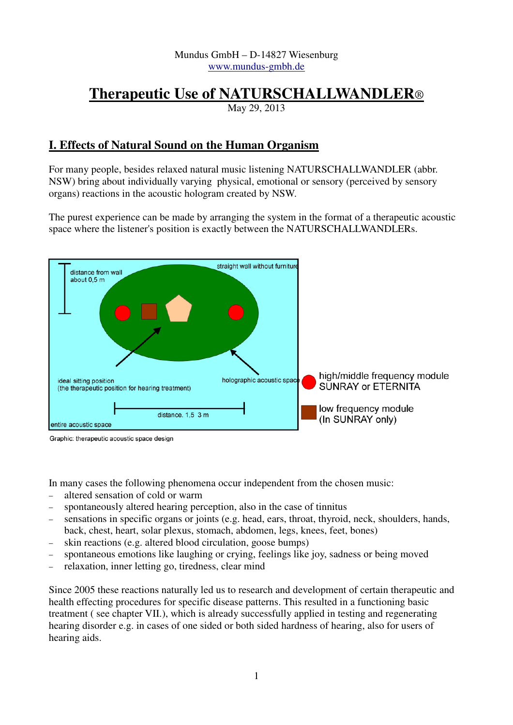#### Mundus GmbH – D-14827 Wiesenburg www.mundus-gmbh.de

# **Therapeutic Use of NATURSCHALLWANDLER**®

May 29, 2013

# **I. Effects of Natural Sound on the Human Organism**

For many people, besides relaxed natural music listening NATURSCHALLWANDLER (abbr. NSW) bring about individually varying physical, emotional or sensory (perceived by sensory organs) reactions in the acoustic hologram created by NSW.

The purest experience can be made by arranging the system in the format of a therapeutic acoustic space where the listener's position is exactly between the NATURSCHALLWANDLERs.



Graphic: therapeutic acoustic space design

In many cases the following phenomena occur independent from the chosen music:

- − altered sensation of cold or warm
- spontaneously altered hearing perception, also in the case of tinnitus
- sensations in specific organs or joints (e.g. head, ears, throat, thyroid, neck, shoulders, hands, back, chest, heart, solar plexus, stomach, abdomen, legs, knees, feet, bones)
- − skin reactions (e.g. altered blood circulation, goose bumps)
- spontaneous emotions like laughing or crying, feelings like joy, sadness or being moved
- − relaxation, inner letting go, tiredness, clear mind

Since 2005 these reactions naturally led us to research and development of certain therapeutic and health effecting procedures for specific disease patterns. This resulted in a functioning basic treatment ( see chapter VII.), which is already successfully applied in testing and regenerating hearing disorder e.g. in cases of one sided or both sided hardness of hearing, also for users of hearing aids.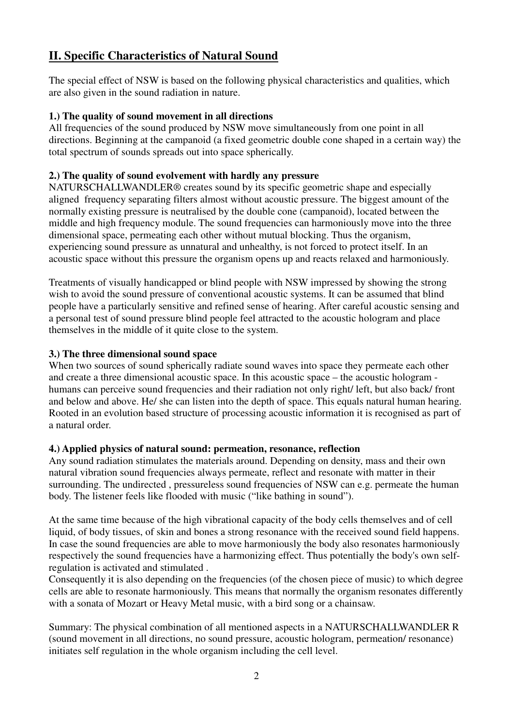# **II. Specific Characteristics of Natural Sound**

The special effect of NSW is based on the following physical characteristics and qualities, which are also given in the sound radiation in nature.

#### **1.) The quality of sound movement in all directions**

All frequencies of the sound produced by NSW move simultaneously from one point in all directions. Beginning at the campanoid (a fixed geometric double cone shaped in a certain way) the total spectrum of sounds spreads out into space spherically.

#### **2.) The quality of sound evolvement with hardly any pressure**

NATURSCHALLWANDLER® creates sound by its specific geometric shape and especially aligned frequency separating filters almost without acoustic pressure. The biggest amount of the normally existing pressure is neutralised by the double cone (campanoid), located between the middle and high frequency module. The sound frequencies can harmoniously move into the three dimensional space, permeating each other without mutual blocking. Thus the organism, experiencing sound pressure as unnatural and unhealthy, is not forced to protect itself. In an acoustic space without this pressure the organism opens up and reacts relaxed and harmoniously.

Treatments of visually handicapped or blind people with NSW impressed by showing the strong wish to avoid the sound pressure of conventional acoustic systems. It can be assumed that blind people have a particularly sensitive and refined sense of hearing. After careful acoustic sensing and a personal test of sound pressure blind people feel attracted to the acoustic hologram and place themselves in the middle of it quite close to the system.

#### **3.) The three dimensional sound space**

When two sources of sound spherically radiate sound waves into space they permeate each other and create a three dimensional acoustic space. In this acoustic space – the acoustic hologram humans can perceive sound frequencies and their radiation not only right/ left, but also back/ front and below and above. He/ she can listen into the depth of space. This equals natural human hearing. Rooted in an evolution based structure of processing acoustic information it is recognised as part of a natural order.

#### **4.) Applied physics of natural sound: permeation, resonance, reflection**

Any sound radiation stimulates the materials around. Depending on density, mass and their own natural vibration sound frequencies always permeate, reflect and resonate with matter in their surrounding. The undirected, pressureless sound frequencies of NSW can e.g. permeate the human body. The listener feels like flooded with music ("like bathing in sound").

At the same time because of the high vibrational capacity of the body cells themselves and of cell liquid, of body tissues, of skin and bones a strong resonance with the received sound field happens. In case the sound frequencies are able to move harmoniously the body also resonates harmoniously respectively the sound frequencies have a harmonizing effect. Thus potentially the body's own selfregulation is activated and stimulated .

Consequently it is also depending on the frequencies (of the chosen piece of music) to which degree cells are able to resonate harmoniously. This means that normally the organism resonates differently with a sonata of Mozart or Heavy Metal music, with a bird song or a chainsaw.

Summary: The physical combination of all mentioned aspects in a NATURSCHALLWANDLER R (sound movement in all directions, no sound pressure, acoustic hologram, permeation/ resonance) initiates self regulation in the whole organism including the cell level.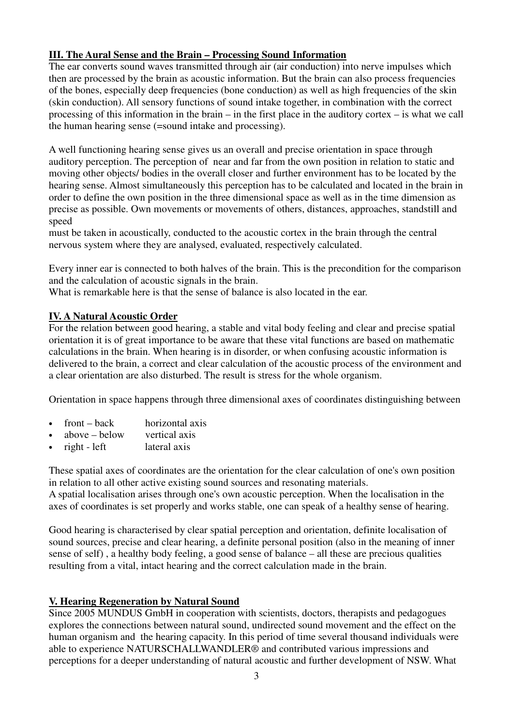# **III. The Aural Sense and the Brain – Processing Sound Information**

The ear converts sound waves transmitted through air (air conduction) into nerve impulses which then are processed by the brain as acoustic information. But the brain can also process frequencies of the bones, especially deep frequencies (bone conduction) as well as high frequencies of the skin (skin conduction). All sensory functions of sound intake together, in combination with the correct processing of this information in the brain – in the first place in the auditory cortex – is what we call the human hearing sense (=sound intake and processing).

A well functioning hearing sense gives us an overall and precise orientation in space through auditory perception. The perception of near and far from the own position in relation to static and moving other objects/ bodies in the overall closer and further environment has to be located by the hearing sense. Almost simultaneously this perception has to be calculated and located in the brain in order to define the own position in the three dimensional space as well as in the time dimension as precise as possible. Own movements or movements of others, distances, approaches, standstill and speed

must be taken in acoustically, conducted to the acoustic cortex in the brain through the central nervous system where they are analysed, evaluated, respectively calculated.

Every inner ear is connected to both halves of the brain. This is the precondition for the comparison and the calculation of acoustic signals in the brain.

What is remarkable here is that the sense of balance is also located in the ear.

#### **IV. A Natural Acoustic Order**

For the relation between good hearing, a stable and vital body feeling and clear and precise spatial orientation it is of great importance to be aware that these vital functions are based on mathematic calculations in the brain. When hearing is in disorder, or when confusing acoustic information is delivered to the brain, a correct and clear calculation of the acoustic process of the environment and a clear orientation are also disturbed. The result is stress for the whole organism.

Orientation in space happens through three dimensional axes of coordinates distinguishing between

- front back horizontal axis
- above below vertical axis
- right left lateral axis

These spatial axes of coordinates are the orientation for the clear calculation of one's own position in relation to all other active existing sound sources and resonating materials. A spatial localisation arises through one's own acoustic perception. When the localisation in the

axes of coordinates is set properly and works stable, one can speak of a healthy sense of hearing.

Good hearing is characterised by clear spatial perception and orientation, definite localisation of sound sources, precise and clear hearing, a definite personal position (also in the meaning of inner sense of self) , a healthy body feeling, a good sense of balance – all these are precious qualities resulting from a vital, intact hearing and the correct calculation made in the brain.

# **V. Hearing Regeneration by Natural Sound**

Since 2005 MUNDUS GmbH in cooperation with scientists, doctors, therapists and pedagogues explores the connections between natural sound, undirected sound movement and the effect on the human organism and the hearing capacity. In this period of time several thousand individuals were able to experience NATURSCHALLWANDLER® and contributed various impressions and perceptions for a deeper understanding of natural acoustic and further development of NSW. What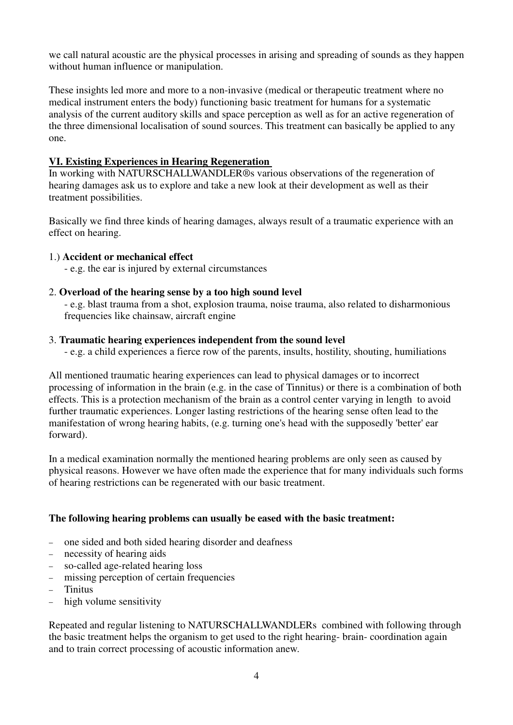we call natural acoustic are the physical processes in arising and spreading of sounds as they happen without human influence or manipulation.

These insights led more and more to a non-invasive (medical or therapeutic treatment where no medical instrument enters the body) functioning basic treatment for humans for a systematic analysis of the current auditory skills and space perception as well as for an active regeneration of the three dimensional localisation of sound sources. This treatment can basically be applied to any one.

#### **VI. Existing Experiences in Hearing Regeneration**

In working with NATURSCHALLWANDLER®s various observations of the regeneration of hearing damages ask us to explore and take a new look at their development as well as their treatment possibilities.

Basically we find three kinds of hearing damages, always result of a traumatic experience with an effect on hearing.

#### 1.) **Accident or mechanical effect**

- e.g. the ear is injured by external circumstances

#### 2. **Overload of the hearing sense by a too high sound level**

- e.g. blast trauma from a shot, explosion trauma, noise trauma, also related to disharmonious frequencies like chainsaw, aircraft engine

#### 3. **Traumatic hearing experiences independent from the sound level**

- e.g. a child experiences a fierce row of the parents, insults, hostility, shouting, humiliations

All mentioned traumatic hearing experiences can lead to physical damages or to incorrect processing of information in the brain (e.g. in the case of Tinnitus) or there is a combination of both effects. This is a protection mechanism of the brain as a control center varying in length to avoid further traumatic experiences. Longer lasting restrictions of the hearing sense often lead to the manifestation of wrong hearing habits, (e.g. turning one's head with the supposedly 'better' ear forward).

In a medical examination normally the mentioned hearing problems are only seen as caused by physical reasons. However we have often made the experience that for many individuals such forms of hearing restrictions can be regenerated with our basic treatment.

# **The following hearing problems can usually be eased with the basic treatment:**

- − one sided and both sided hearing disorder and deafness
- − necessity of hearing aids
- − so-called age-related hearing loss
- − missing perception of certain frequencies
- − Tinitus
- − high volume sensitivity

Repeated and regular listening to NATURSCHALLWANDLERs combined with following through the basic treatment helps the organism to get used to the right hearing- brain- coordination again and to train correct processing of acoustic information anew.